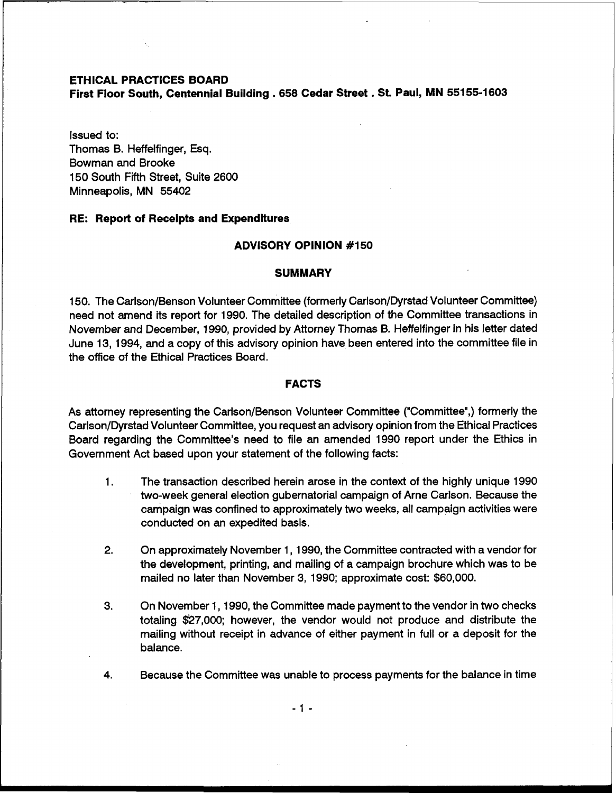## **ETHICAL PRACTICES BOARD**

**First Floor South, Centennial Building** . **<sup>658</sup>Cedar Street** . **St. Paul, MN 55155-1603** 

Issued to: Thomas B. Heffelfinger, Esq. Bowman and Brooke 150 South Fifth Street, Suite 2600 Minneapolis, MN 55402

## **RE: Report of Receipts and Expenditures**

#### **ADVISORY OPINION #I50**

#### **SUMMARY**

150. The Carlson/Benson Volunteer Committee (formerly Carlson/Dyrstad Volunteer Committee) need not amend its report for 1990. The detailed description of the Committee transactions in November and December, 1990, provided by Attorney Thomas B. Heffelfinger in his letter dated June 13, 1994, and a copy of this advisory opinion have been entered into the committee file in the office of the Ethical Practices Board.

# **FACTS**

As attorney representing the Carlson/Benson Volunteer Committee ("Committee",) formerly the Carlson/Dyrstad Volunteer Committee, you request an advisory opinion from the Ethical Practices Board regarding the Committee's need to file an amended 1990 report under the Ethics in Government Act based upon your statement of the following facts:

- 1. The transaction described herein arose in the context of the highly unique 1990 two-week general election gubernatorial campaign of Arne Carlson. Because the campaign was confined to approximately two weeks, all campaign activities were conducted on an expedited basis.
- **2.** On approximately November 1, 1990, the Committee contracted with a vendor for the development, printing, and mailing of a campaign brochure which was to be mailed no later than November 3, 1990; approximate cost: \$60,000.
- 3. On November 1,1990, the Committee made payment to the vendor in two checks totaling \$27,000; however, the vendor would not produce and distribute the mailing without receipt in advance of either payment in full or a deposit for the balance.
- 4. Because the Committee was unable to process payments for the balance in time